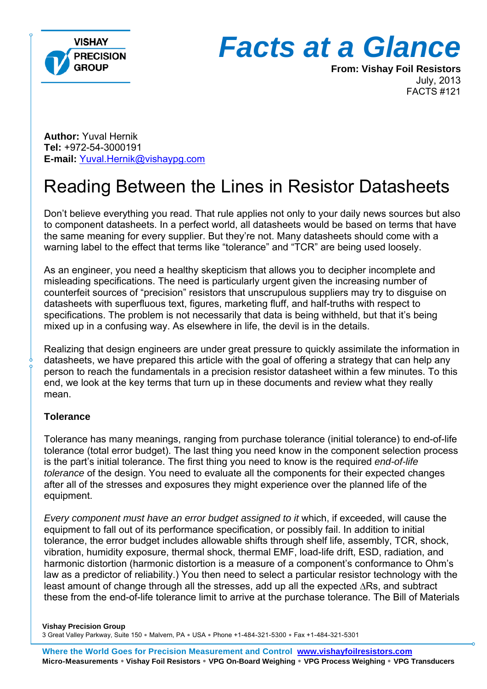

# *Facts at a Glance*

**From: Vishay Foil Resistors**  July, 2013 FACTS #121

**Author:** Yuval Hernik **Tel:** +972-54-3000191 **E-mail:** Yuval.Hernik@vishaypg.com

# Reading Between the Lines in Resistor Datasheets

Don't believe everything you read. That rule applies not only to your daily news sources but also to component datasheets. In a perfect world, all datasheets would be based on terms that have the same meaning for every supplier. But they're not. Many datasheets should come with a warning label to the effect that terms like "tolerance" and "TCR" are being used loosely.

As an engineer, you need a healthy skepticism that allows you to decipher incomplete and misleading specifications. The need is particularly urgent given the increasing number of counterfeit sources of "precision" resistors that unscrupulous suppliers may try to disguise on datasheets with superfluous text, figures, marketing fluff, and half-truths with respect to specifications. The problem is not necessarily that data is being withheld, but that it's being mixed up in a confusing way. As elsewhere in life, the devil is in the details.

Realizing that design engineers are under great pressure to quickly assimilate the information in datasheets, we have prepared this article with the goal of offering a strategy that can help any person to reach the fundamentals in a precision resistor datasheet within a few minutes. To this end, we look at the key terms that turn up in these documents and review what they really mean.

#### **Tolerance**

Tolerance has many meanings, ranging from purchase tolerance (initial tolerance) to end-of-life tolerance (total error budget). The last thing you need know in the component selection process is the part's initial tolerance. The first thing you need to know is the required *end-of-life tolerance* of the design. You need to evaluate all the components for their expected changes after all of the stresses and exposures they might experience over the planned life of the equipment.

*Every component must have an error budget assigned to it* which, if exceeded, will cause the equipment to fall out of its performance specification, or possibly fail. In addition to initial tolerance, the error budget includes allowable shifts through shelf life, assembly, TCR, shock, vibration, humidity exposure, thermal shock, thermal EMF, load-life drift, ESD, radiation, and harmonic distortion (harmonic distortion is a measure of a component's conformance to Ohm's law as a predictor of reliability.) You then need to select a particular resistor technology with the least amount of change through all the stresses, add up all the expected ∆Rs, and subtract these from the end-of-life tolerance limit to arrive at the purchase tolerance. The Bill of Materials

**Vishay Precision Group**  3 Great Valley Parkway, Suite 150 · Malvern, PA · USA · Phone +1-484-321-5300 · Fax +1-484-321-5301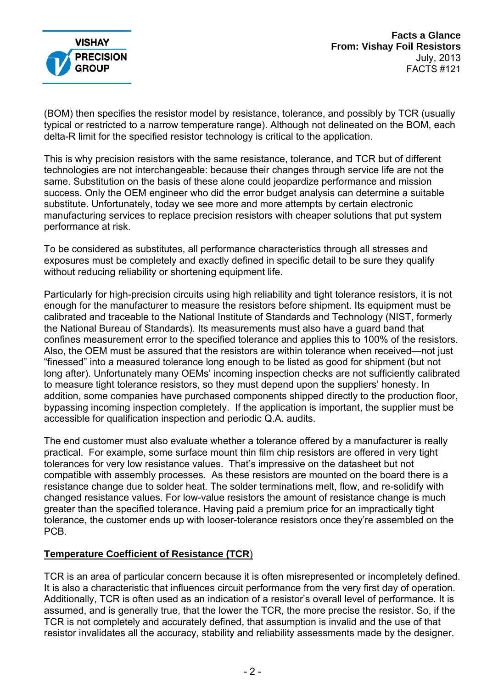

(BOM) then specifies the resistor model by resistance, tolerance, and possibly by TCR (usually typical or restricted to a narrow temperature range). Although not delineated on the BOM, each delta-R limit for the specified resistor technology is critical to the application.

This is why precision resistors with the same resistance, tolerance, and TCR but of different technologies are not interchangeable: because their changes through service life are not the same. Substitution on the basis of these alone could jeopardize performance and mission success. Only the OEM engineer who did the error budget analysis can determine a suitable substitute. Unfortunately, today we see more and more attempts by certain electronic manufacturing services to replace precision resistors with cheaper solutions that put system performance at risk.

To be considered as substitutes, all performance characteristics through all stresses and exposures must be completely and exactly defined in specific detail to be sure they qualify without reducing reliability or shortening equipment life.

Particularly for high-precision circuits using high reliability and tight tolerance resistors, it is not enough for the manufacturer to measure the resistors before shipment. Its equipment must be calibrated and traceable to the National Institute of Standards and Technology (NIST, formerly the National Bureau of Standards). Its measurements must also have a guard band that confines measurement error to the specified tolerance and applies this to 100% of the resistors. Also, the OEM must be assured that the resistors are within tolerance when received—not just "finessed" into a measured tolerance long enough to be listed as good for shipment (but not long after). Unfortunately many OEMs' incoming inspection checks are not sufficiently calibrated to measure tight tolerance resistors, so they must depend upon the suppliers' honesty. In addition, some companies have purchased components shipped directly to the production floor, bypassing incoming inspection completely. If the application is important, the supplier must be accessible for qualification inspection and periodic Q.A. audits.

The end customer must also evaluate whether a tolerance offered by a manufacturer is really practical. For example, some surface mount thin film chip resistors are offered in very tight tolerances for very low resistance values. That's impressive on the datasheet but not compatible with assembly processes. As these resistors are mounted on the board there is a resistance change due to solder heat. The solder terminations melt, flow, and re-solidify with changed resistance values. For low-value resistors the amount of resistance change is much greater than the specified tolerance. Having paid a premium price for an impractically tight tolerance, the customer ends up with looser-tolerance resistors once they're assembled on the PCB.

#### **Temperature Coefficient of Resistance (TCR**)

TCR is an area of particular concern because it is often misrepresented or incompletely defined. It is also a characteristic that influences circuit performance from the very first day of operation. Additionally, TCR is often used as an indication of a resistor's overall level of performance. It is assumed, and is generally true, that the lower the TCR, the more precise the resistor. So, if the TCR is not completely and accurately defined, that assumption is invalid and the use of that resistor invalidates all the accuracy, stability and reliability assessments made by the designer.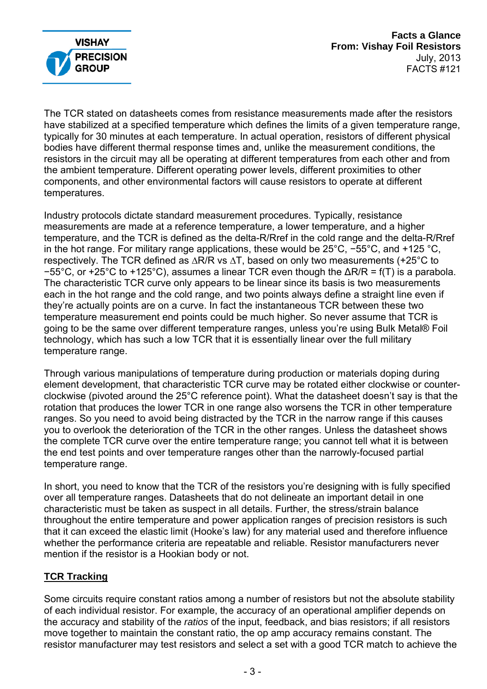

**Facts a Glance From: Vishay Foil Resistors**  July, 2013 FACTS #121

The TCR stated on datasheets comes from resistance measurements made after the resistors have stabilized at a specified temperature which defines the limits of a given temperature range, typically for 30 minutes at each temperature. In actual operation, resistors of different physical bodies have different thermal response times and, unlike the measurement conditions, the resistors in the circuit may all be operating at different temperatures from each other and from the ambient temperature. Different operating power levels, different proximities to other components, and other environmental factors will cause resistors to operate at different temperatures.

Industry protocols dictate standard measurement procedures. Typically, resistance measurements are made at a reference temperature, a lower temperature, and a higher temperature, and the TCR is defined as the delta-R/Rref in the cold range and the delta-R/Rref in the hot range. For military range applications, these would be 25°C, −55°C, and +125 °C, respectively. The TCR defined as ∆R/R vs ∆T, based on only two measurements (+25°C to −55°C, or +25°C to +125°C), assumes a linear TCR even though the ∆R/R = f(T) is a parabola. The characteristic TCR curve only appears to be linear since its basis is two measurements each in the hot range and the cold range, and two points always define a straight line even if they're actually points are on a curve. In fact the instantaneous TCR between these two temperature measurement end points could be much higher. So never assume that TCR is going to be the same over different temperature ranges, unless you're using Bulk Metal® Foil technology, which has such a low TCR that it is essentially linear over the full military temperature range.

Through various manipulations of temperature during production or materials doping during element development, that characteristic TCR curve may be rotated either clockwise or counterclockwise (pivoted around the 25°C reference point). What the datasheet doesn't say is that the rotation that produces the lower TCR in one range also worsens the TCR in other temperature ranges. So you need to avoid being distracted by the TCR in the narrow range if this causes you to overlook the deterioration of the TCR in the other ranges. Unless the datasheet shows the complete TCR curve over the entire temperature range; you cannot tell what it is between the end test points and over temperature ranges other than the narrowly-focused partial temperature range.

In short, you need to know that the TCR of the resistors you're designing with is fully specified over all temperature ranges. Datasheets that do not delineate an important detail in one characteristic must be taken as suspect in all details. Further, the stress/strain balance throughout the entire temperature and power application ranges of precision resistors is such that it can exceed the elastic limit (Hooke's law) for any material used and therefore influence whether the performance criteria are repeatable and reliable. Resistor manufacturers never mention if the resistor is a Hookian body or not.

## **TCR Tracking**

Some circuits require constant ratios among a number of resistors but not the absolute stability of each individual resistor. For example, the accuracy of an operational amplifier depends on the accuracy and stability of the *ratios* of the input, feedback, and bias resistors; if all resistors move together to maintain the constant ratio, the op amp accuracy remains constant. The resistor manufacturer may test resistors and select a set with a good TCR match to achieve the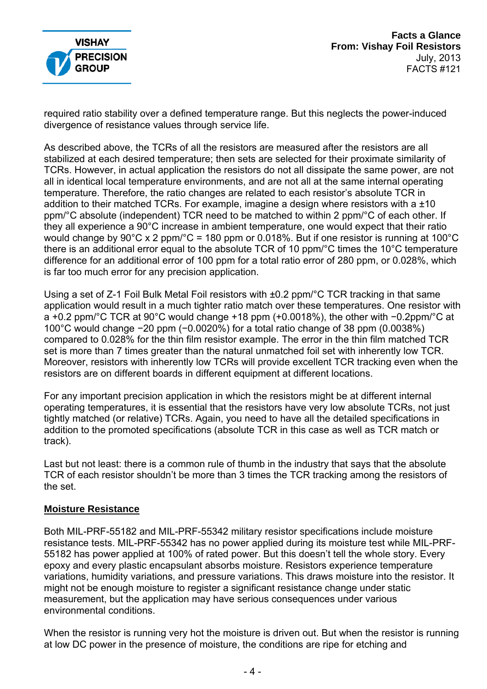

required ratio stability over a defined temperature range. But this neglects the power-induced divergence of resistance values through service life.

As described above, the TCRs of all the resistors are measured after the resistors are all stabilized at each desired temperature; then sets are selected for their proximate similarity of TCRs. However, in actual application the resistors do not all dissipate the same power, are not all in identical local temperature environments, and are not all at the same internal operating temperature. Therefore, the ratio changes are related to each resistor's absolute TCR in addition to their matched TCRs. For example, imagine a design where resistors with a ±10 ppm/°C absolute (independent) TCR need to be matched to within 2 ppm/°C of each other. If they all experience a 90°C increase in ambient temperature, one would expect that their ratio would change by 90°C x 2 ppm/°C = 180 ppm or 0.018%. But if one resistor is running at 100°C there is an additional error equal to the absolute TCR of 10 ppm/°C times the 10°C temperature difference for an additional error of 100 ppm for a total ratio error of 280 ppm, or 0.028%, which is far too much error for any precision application.

Using a set of Z-1 Foil Bulk Metal Foil resistors with ±0.2 ppm/°C TCR tracking in that same application would result in a much tighter ratio match over these temperatures. One resistor with a +0.2 ppm/°C TCR at 90°C would change +18 ppm (+0.0018%), the other with −0.2ppm/°C at 100°C would change −20 ppm (−0.0020%) for a total ratio change of 38 ppm (0.0038%) compared to 0.028% for the thin film resistor example. The error in the thin film matched TCR set is more than 7 times greater than the natural unmatched foil set with inherently low TCR. Moreover, resistors with inherently low TCRs will provide excellent TCR tracking even when the resistors are on different boards in different equipment at different locations.

For any important precision application in which the resistors might be at different internal operating temperatures, it is essential that the resistors have very low absolute TCRs, not just tightly matched (or relative) TCRs. Again, you need to have all the detailed specifications in addition to the promoted specifications (absolute TCR in this case as well as TCR match or track).

Last but not least: there is a common rule of thumb in the industry that says that the absolute TCR of each resistor shouldn't be more than 3 times the TCR tracking among the resistors of the set.

#### **Moisture Resistance**

Both MIL-PRF-55182 and MIL-PRF-55342 military resistor specifications include moisture resistance tests. MIL-PRF-55342 has no power applied during its moisture test while MIL-PRF-55182 has power applied at 100% of rated power. But this doesn't tell the whole story. Every epoxy and every plastic encapsulant absorbs moisture. Resistors experience temperature variations, humidity variations, and pressure variations. This draws moisture into the resistor. It might not be enough moisture to register a significant resistance change under static measurement, but the application may have serious consequences under various environmental conditions.

When the resistor is running very hot the moisture is driven out. But when the resistor is running at low DC power in the presence of moisture, the conditions are ripe for etching and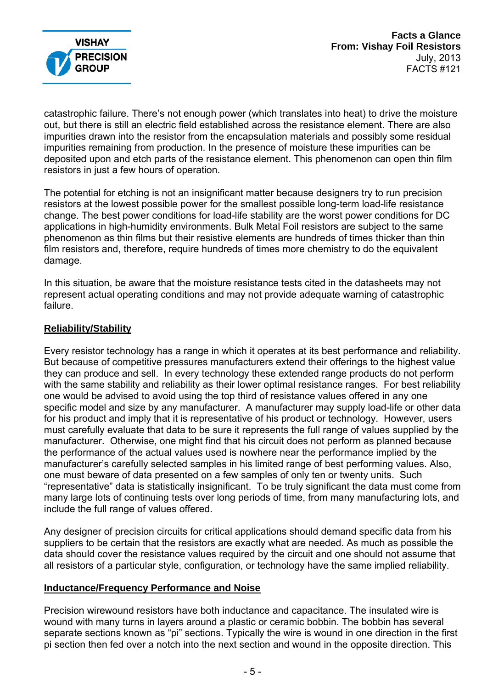

catastrophic failure. There's not enough power (which translates into heat) to drive the moisture out, but there is still an electric field established across the resistance element. There are also impurities drawn into the resistor from the encapsulation materials and possibly some residual impurities remaining from production. In the presence of moisture these impurities can be deposited upon and etch parts of the resistance element. This phenomenon can open thin film resistors in just a few hours of operation.

The potential for etching is not an insignificant matter because designers try to run precision resistors at the lowest possible power for the smallest possible long-term load-life resistance change. The best power conditions for load-life stability are the worst power conditions for DC applications in high-humidity environments. Bulk Metal Foil resistors are subject to the same phenomenon as thin films but their resistive elements are hundreds of times thicker than thin film resistors and, therefore, require hundreds of times more chemistry to do the equivalent damage.

In this situation, be aware that the moisture resistance tests cited in the datasheets may not represent actual operating conditions and may not provide adequate warning of catastrophic failure.

#### **Reliability/Stability**

Every resistor technology has a range in which it operates at its best performance and reliability. But because of competitive pressures manufacturers extend their offerings to the highest value they can produce and sell. In every technology these extended range products do not perform with the same stability and reliability as their lower optimal resistance ranges. For best reliability one would be advised to avoid using the top third of resistance values offered in any one specific model and size by any manufacturer. A manufacturer may supply load-life or other data for his product and imply that it is representative of his product or technology. However, users must carefully evaluate that data to be sure it represents the full range of values supplied by the manufacturer. Otherwise, one might find that his circuit does not perform as planned because the performance of the actual values used is nowhere near the performance implied by the manufacturer's carefully selected samples in his limited range of best performing values. Also, one must beware of data presented on a few samples of only ten or twenty units. Such "representative" data is statistically insignificant. To be truly significant the data must come from many large lots of continuing tests over long periods of time, from many manufacturing lots, and include the full range of values offered.

Any designer of precision circuits for critical applications should demand specific data from his suppliers to be certain that the resistors are exactly what are needed. As much as possible the data should cover the resistance values required by the circuit and one should not assume that all resistors of a particular style, configuration, or technology have the same implied reliability.

#### **Inductance/Frequency Performance and Noise**

Precision wirewound resistors have both inductance and capacitance. The insulated wire is wound with many turns in layers around a plastic or ceramic bobbin. The bobbin has several separate sections known as "pi" sections. Typically the wire is wound in one direction in the first pi section then fed over a notch into the next section and wound in the opposite direction. This